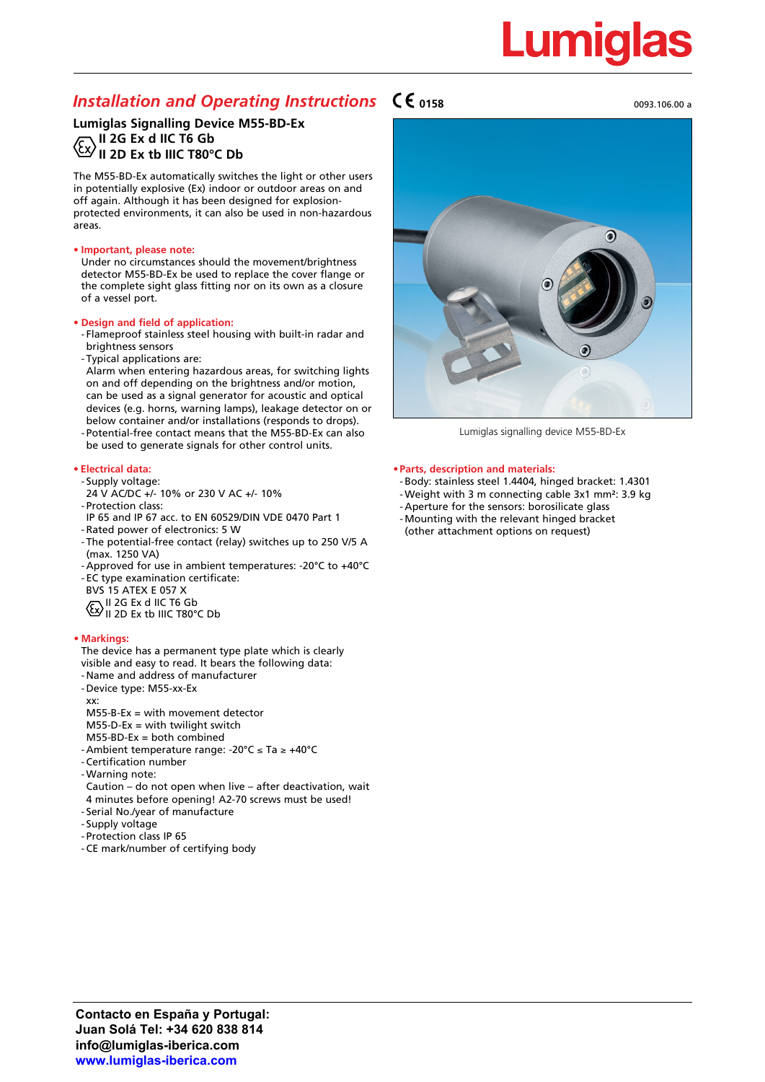# Lumigl

### **Installation and Operating Instructions**  $\mathsf{C}\boldsymbol{\epsilon}$  **0158** 0093.106.00 and 0093.106.00 a

**Lumiglas Signalling Device M55-BD-Ex II 2G Ex d IIC T6 Gb II 2D Ex tb IIIC T80°C Db**

The M55-BD-Ex automatically switches the light or other users in potentially explosive (Ex) indoor or outdoor areas on and off again. Although it has been designed for explosionprotected environments, it can also be used in non-hazardous areas.

#### **• Important, please note:**

Under no circumstances should the movement/brightness detector M55-BD-Ex be used to replace the cover flange or the complete sight glass fitting nor on its own as a closure of a vessel port.

#### **• Design and field of application:**

- Flameproof stainless steel housing with built-in radar and brightness sensors
- Typical applications are:

Alarm when entering hazardous areas, for switching lights on and off depending on the brightness and/or motion, can be used as a signal generator for acoustic and optical devices (e.g. horns, warning lamps), leakage detector on or below container and/or installations (responds to drops).

- Potential-free contact means that the M55-BD-Ex can also be used to generate signals for other control units.

#### **• Electrical data:**

- Supply voltage:
- 24 V AC/DC +/- 10% or 230 V AC +/- 10%
- Protection class:
- IP 65 and IP 67 acc. to EN 60529/DIN VDE 0470 Part 1 - Rated power of electronics: 5 W
- The potential-free contact (relay) switches up to 250 V/5 A (max. 1250 VA)
- Approved for use in ambient temperatures: -20°C to +40°C
- EC type examination certificate:
- BVS 15 ATEX E 057 X
- II 2G Ex d IIC T6 Gb
- II 2D Ex tb IIIC T80°C Db

#### **• Markings:**

- The device has a permanent type plate which is clearly visible and easy to read. It bears the following data:
- Name and address of manufacturer
- Device type: M55-xx-Ex
- xx:
- M55-B-Ex = with movement detector
- $M55-D-Ex = with twilight switch$
- M55-BD-Ex = both combined
- Ambient temperature range: -20°C ≤ Ta ≥ +40°C
- Certification number
- Warning note:
- Caution do not open when live after deactivation, wait 4 minutes before opening! A2-70 screws must be used!
- Serial No./year of manufacture
- Supply voltage
- Protection class IP 65
- CE mark/number of certifying body



Lumiglas signalling device M55-BD-Ex

#### **•Parts, description and materials:**

- Body: stainless steel 1.4404, hinged bracket: 1.4301
- Weight with 3 m connecting cable 3x1 mm²: 3.9 kg
- Aperture for the sensors: borosilicate glass - Mounting with the relevant hinged bracket
- (other attachment options on request)